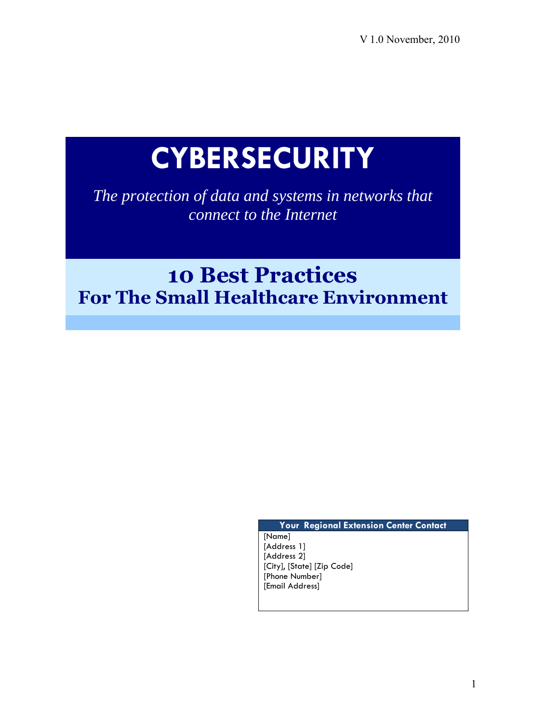# **CYBERSECURITY**

*The protection of data and systems in networks that connect to the Internet*

## **10 Best Practices For The Small Healthcare Environment**

**Your Regional Extension Center Contact** [Name] [Address 1] [Address 2] [City], [State] [Zip Code] [Phone Number] [Email Address]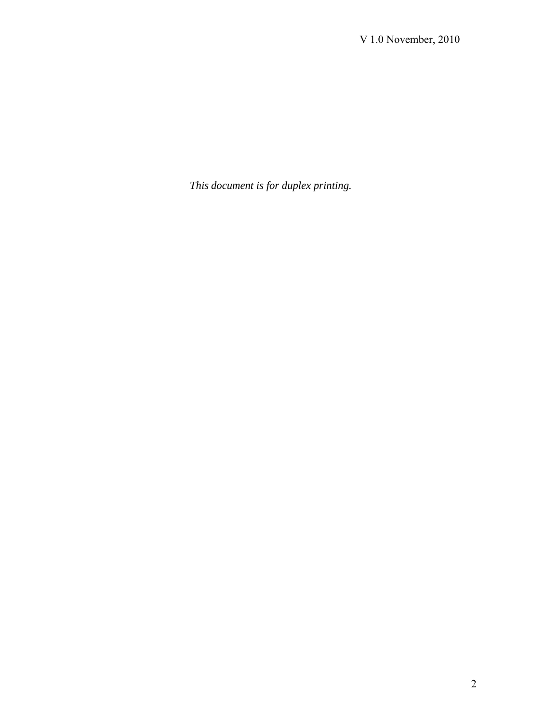*This document is for duplex printing.*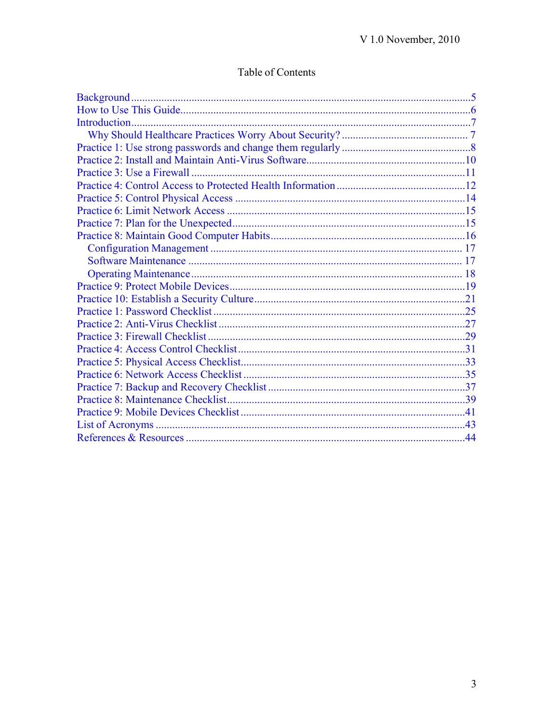#### Table of Contents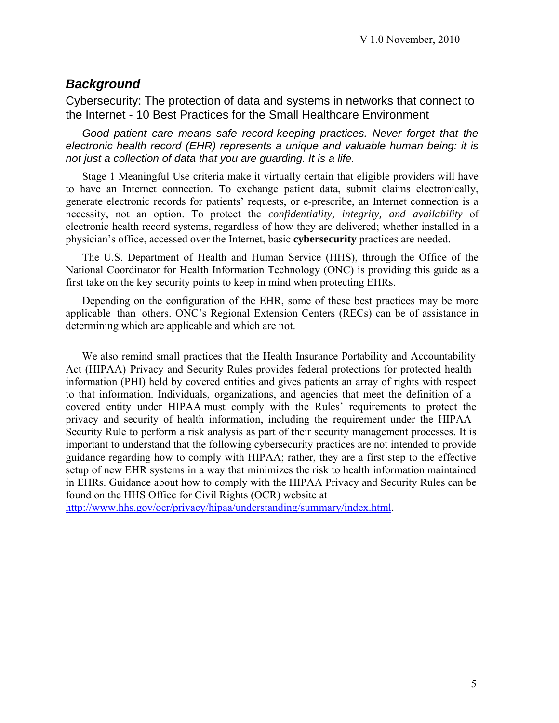#### <span id="page-4-0"></span>*Background*

Cybersecurity: The protection of data and systems in networks that connect to the Internet - 10 Best Practices for the Small Healthcare Environment

*Good patient care means safe record-keeping practices. Never forget that the electronic health record (EHR) represents a unique and valuable human being: it is not just a collection of data that you are guarding. It is a life.*

Stage 1 Meaningful Use criteria make it virtually certain that eligible providers will have to have an Internet connection. To exchange patient data, submit claims electronically, generate electronic records for patients' requests, or e-prescribe, an Internet connection is a necessity, not an option. To protect the *confidentiality, integrity, and availability* of electronic health record systems, regardless of how they are delivered; whether installed in a physician's office, accessed over the Internet, basic **cybersecurity** practices are needed.

The U.S. Department of Health and Human Service (HHS), through the Office of the National Coordinator for Health Information Technology (ONC) is providing this guide as a first take on the key security points to keep in mind when protecting EHRs.

Depending on the configuration of the EHR, some of these best practices may be more applicable than others. ONC's Regional Extension Centers (RECs) can be of assistance in determining which are applicable and which are not.

We also remind small practices that the Health Insurance Portability and Accountability Act (HIPAA) Privacy and Security Rules provides federal protections for protected health information (PHI) held by covered entities and gives patients an array of rights with respect to that information. Individuals, organizations, and agencies that meet the definition of a covered entity under HIPAA must comply with the Rules' requirements to protect the privacy and security of health information, including the requirement under the HIPAA Security Rule to perform a risk analysis as part of their security management processes. It is important to understand that the following cybersecurity practices are not intended to provide guidance regarding how to comply with HIPAA; rather, they are a first step to the effective setup of new EHR systems in a way that minimizes the risk to health information maintained in EHRs. Guidance about how to comply with the HIPAA Privacy and Security Rules can be found on the HHS Office for Civil Rights (OCR) website at

[http://www.hhs.gov/ocr/privacy/hipaa/understanding/summary/index.html.](http://www.hhs.gov/ocr/privacy/hipaa/understanding/summary/index.html)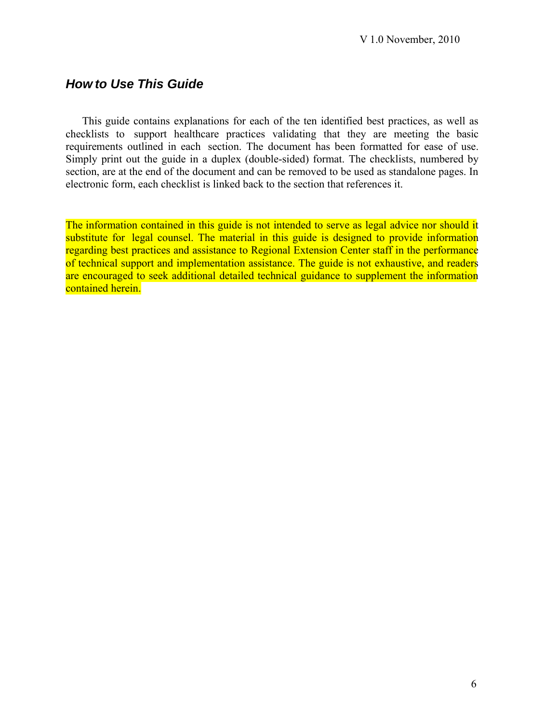#### <span id="page-5-0"></span>*How to Use This Guide*

This guide contains explanations for each of the ten identified best practices, as well as checklists to support healthcare practices validating that they are meeting the basic requirements outlined in each section. The document has been formatted for ease of use. Simply print out the guide in a duplex (double-sided) format. The checklists, numbered by section, are at the end of the document and can be removed to be used as standalone pages. In electronic form, each checklist is linked back to the section that references it.

The information contained in this guide is not intended to serve as legal advice nor should it substitute for legal counsel. The material in this guide is designed to provide information regarding best practices and assistance to Regional Extension Center staff in the performance of technical support and implementation assistance. The guide is not exhaustive, and readers are encouraged to seek additional detailed technical guidance to supplement the information contained herein.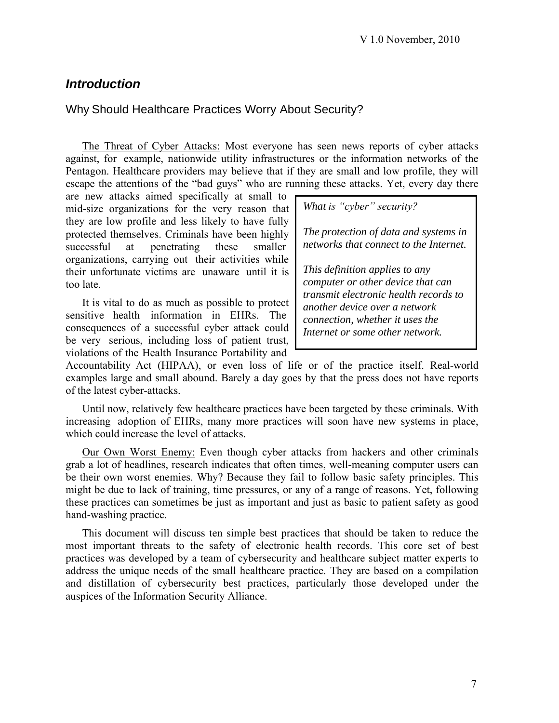#### <span id="page-6-0"></span>*Introduction*

#### Why Should Healthcare Practices Worry About Security?

The Threat of Cyber Attacks: Most everyone has seen news reports of cyber attacks against, for example, nationwide utility infrastructures or the information networks of the Pentagon. Healthcare providers may believe that if they are small and low profile, they will escape the attentions of the "bad guys" who are running these attacks. Yet, every day there

are new attacks aimed specifically at small to mid-size organizations for the very reason that they are low profile and less likely to have fully protected themselves. Criminals have been highly successful at penetrating these smaller organizations, carrying out their activities while their unfortunate victims are unaware until it is too late.

It is vital to do as much as possible to protect sensitive health information in EHRs. The consequences of a successful cyber attack could be very serious, including loss of patient trust, violations of the Health Insurance Portability and

*What is "cyber" security?*

*The protection of data and systems in networks that connect to the Internet.*

*This definition applies to any computer or other device that can transmit electronic health records to another device over a network connection, whether it uses the Internet or some other network.*

Accountability Act (HIPAA), or even loss of life or of the practice itself. Real-world examples large and small abound. Barely a day goes by that the press does not have reports of the latest cyber-attacks.

Until now, relatively few healthcare practices have been targeted by these criminals. With increasing adoption of EHRs, many more practices will soon have new systems in place, which could increase the level of attacks.

Our Own Worst Enemy: Even though cyber attacks from hackers and other criminals grab a lot of headlines, research indicates that often times, well-meaning computer users can be their own worst enemies. Why? Because they fail to follow basic safety principles. This might be due to lack of training, time pressures, or any of a range of reasons. Yet, following these practices can sometimes be just as important and just as basic to patient safety as good hand-washing practice.

This document will discuss ten simple best practices that should be taken to reduce the most important threats to the safety of electronic health records. This core set of best practices was developed by a team of cybersecurity and healthcare subject matter experts to address the unique needs of the small healthcare practice. They are based on a compilation and distillation of cybersecurity best practices, particularly those developed under the auspices of the Information Security Alliance.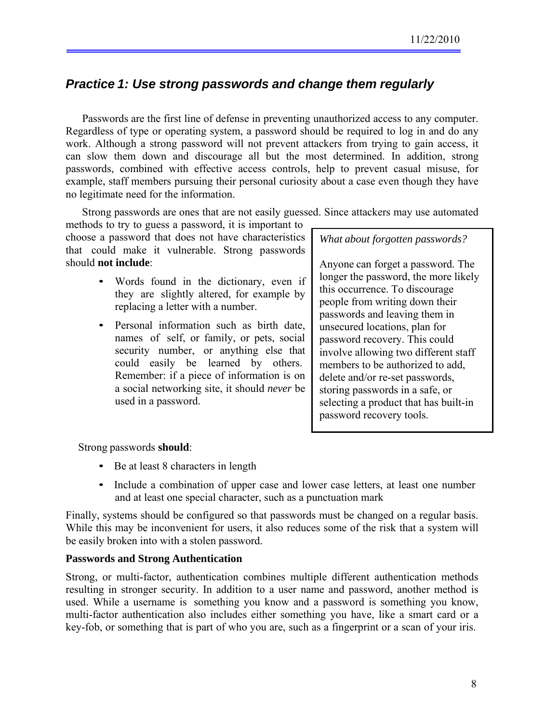## <span id="page-7-0"></span>*Practice 1: Use strong passwords and change them regularly*

Passwords are the first line of defense in preventing unauthorized access to any computer. Regardless of type or operating system, a password should be required to log in and do any work. Although a strong password will not prevent attackers from trying to gain access, it can slow them down and discourage all but the most determined. In addition, strong passwords, combined with effective access controls, help to prevent casual misuse, for example, staff members pursuing their personal curiosity about a case even though they have no legitimate need for the information.

Strong passwords are ones that are not easily guessed. Since attackers may use automated

methods to try to guess a password, it is important to choose a password that does not have characteristics that could make it vulnerable. Strong passwords should **not include**:

- Words found in the dictionary, even if they are slightly altered, for example by replacing a letter with a number.
- Personal information such as birth date, names of self, or family, or pets, social security number, or anything else that could easily be learned by others. Remember: if a piece of information is on a social networking site, it should *never* be used in a password.

*What about forgotten passwords?*

Anyone can forget a password. The longer the password, the more likely this occurrence. To discourage people from writing down their passwords and leaving them in unsecured locations, plan for password recovery. This could involve allowing two different staff members to be authorized to add, delete and/or re-set passwords, storing passwords in a safe, or selecting a product that has built-in password recovery tools.

Strong passwords **should**:

- Be at least 8 characters in length
- Include a combination of upper case and lower case letters, at least one number and at least one special character, such as a punctuation mark

Finally, systems should be configured so that passwords must be changed on a regular basis. While this may be inconvenient for users, it also reduces some of the risk that a system will be easily broken into with a stolen password.

#### **Passwords and Strong Authentication**

Strong, or multi-factor, authentication combines multiple different authentication methods resulting in stronger security. In addition to a user name and password, another method is used. While a username is something you know and a password is something you know, multi-factor authentication also includes either something you have, like a smart card or a key-fob, or something that is part of who you are, such as a fingerprint or a scan of your iris.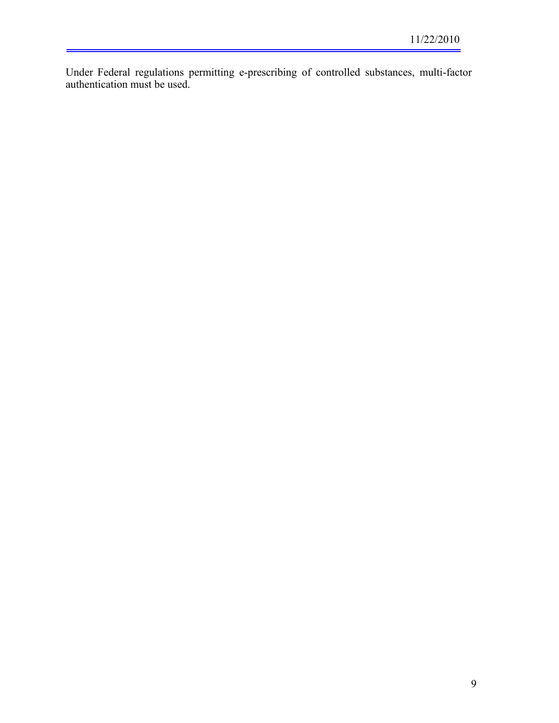Under Federal regulations permitting e-prescribing of controlled substances, multi-factor authentication must be used.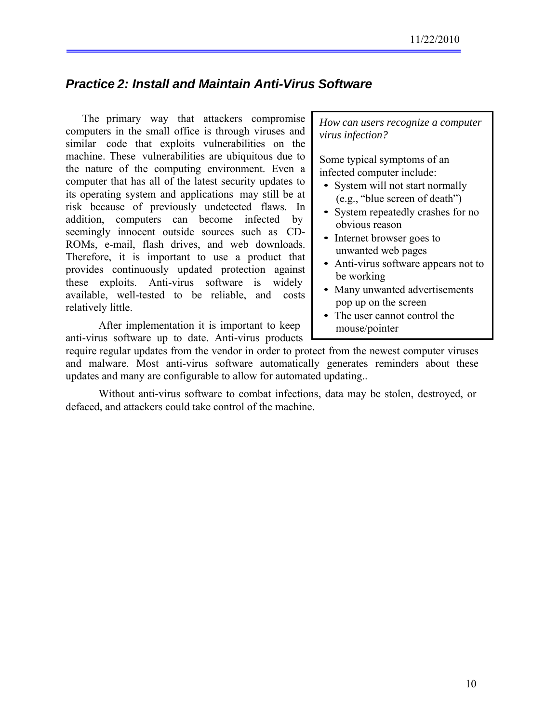#### <span id="page-9-0"></span>*Practice 2: Install and Maintain Anti-Virus Software*

The primary way that attackers compromise computers in the small office is through viruses and similar code that exploits vulnerabilities on the machine. These vulnerabilities are ubiquitous due to the nature of the computing environment. Even a computer that has all of the latest security updates to its operating system and applications may still be at risk because of previously undetected flaws. In addition, computers can become infected by seemingly innocent outside sources such as CD-ROMs, e-mail, flash drives, and web downloads. Therefore, it is important to use a product that provides continuously updated protection against these exploits. Anti-virus software is widely available, well-tested to be reliable, and costs relatively little.

After implementation it is important to keep anti-virus software up to date. Anti-virus products *How can users recognize a computer virus infection?*

Some typical symptoms of an infected computer include:

- System will not start normally (e.g., "blue screen of death")
- System repeatedly crashes for no obvious reason
- Internet browser goes to unwanted web pages
- Anti-virus software appears not to be working
- Many unwanted advertisements pop up on the screen
- The user cannot control the mouse/pointer

require regular updates from the vendor in order to protect from the newest computer viruses and malware. Most anti-virus software automatically generates reminders about these updates and many are configurable to allow for automated updating..

Without anti-virus software to combat infections, data may be stolen, destroyed, or defaced, and attackers could take control of the machine.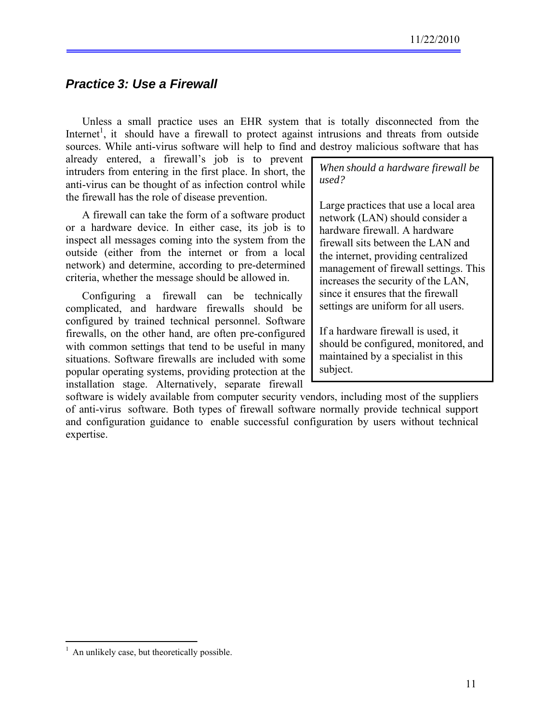#### <span id="page-10-0"></span>*Practice 3: Use a Firewall*

Unless a small practice uses an EHR system that is totally disconnected from the Internet<sup>1</sup>, it should have a firewall to protect against intrusions and threats from outside sources. While anti-virus software will help to find and destroy malicious software that has

already entered, a firewall's job is to prevent intruders from entering in the first place. In short, the *When should a hardware firewall be*<br>anti-virus can be thought of as infection control while *used?* anti-virus can be thought of as infection control while the firewall has the role of disease prevention.

A firewall can take the form of a software product or a hardware device. In either case, its job is to inspect all messages coming into the system from the outside (either from the internet or from a local network) and determine, according to pre-determined criteria, whether the message should be allowed in.

Configuring a firewall can be technically complicated, and hardware firewalls should be configured by trained technical personnel. Software firewalls, on the other hand, are often pre-configured with common settings that tend to be useful in many situations. Software firewalls are included with some popular operating systems, providing protection at the installation stage. Alternatively, separate firewall

Large practices that use a local area network (LAN) should consider a hardware firewall. A hardware firewall sits between the LAN and the internet, providing centralized management of firewall settings. This increases the security of the LAN, since it ensures that the firewall settings are uniform for all users.

If a hardware firewall is used, it should be configured, monitored, and maintained by a specialist in this subject.

software is widely available from computer security vendors, including most of the suppliers of anti-virus software. Both types of firewall software normally provide technical support and configuration guidance to enable successful configuration by users without technical expertise.

 $<sup>1</sup>$  An unlikely case, but theoretically possible.</sup>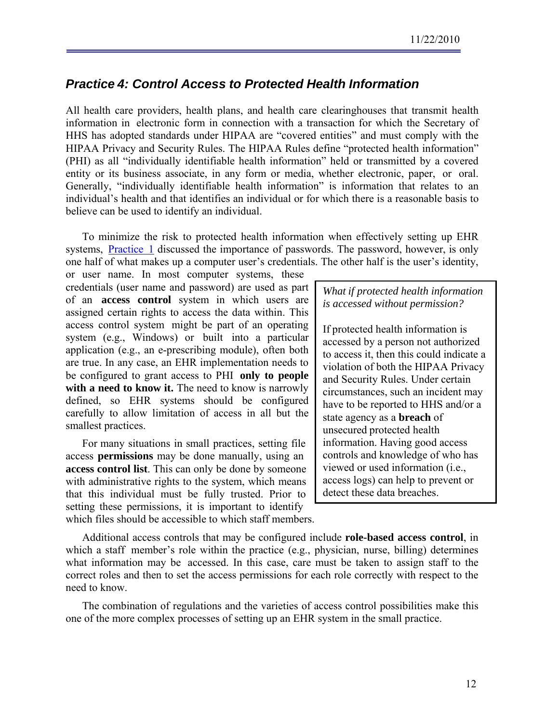#### <span id="page-11-0"></span>*Practice 4: Control Access to Protected Health Information*

All health care providers, health plans, and health care clearinghouses that transmit health information in electronic form in connection with a transaction for which the Secretary of HHS has adopted standards under HIPAA are "covered entities" and must comply with the HIPAA Privacy and Security Rules. The HIPAA Rules define "protected health information" (PHI) as all "individually identifiable health information" held or transmitted by a covered entity or its business associate, in any form or media, whether electronic, paper, or oral. Generally, "individually identifiable health information" is information that relates to an individual's health and that identifies an individual or for which there is a reasonable basis to believe can be used to identify an individual.

To minimize the risk to protected health information when effectively setting up EHR systems, Practice 1 discussed the importance of passwords. The password, however, is only one half of what makes up a computer user's credentials. The other half is the user's identity,

or user name. In most computer systems, these credentials (user name and password) are used as part of an **access control** system in which users are assigned certain rights to access the data within. This access control system might be part of an operating system (e.g., Windows) or built into a particular application (e.g., an e-prescribing module), often both are true. In any case, an EHR implementation needs to be configured to grant access to PHI **only to people**  with a need to know it. The need to know is narrowly defined, so EHR systems should be configured carefully to allow limitation of access in all but the smallest practices.

For many situations in small practices, setting file access **permissions** may be done manually, using an **access control list**. This can only be done by someone with administrative rights to the system, which means that this individual must be fully trusted. Prior to setting these permissions, it is important to identify which files should be accessible to which staff members.

*What if protected health information is accessed without permission?*

If protected health information is accessed by a person not authorized to access it, then this could indicate a violation of both the HIPAA Privacy and Security Rules. Under certain circumstances, such an incident may have to be reported to HHS and/or a state agency as a **breach** of unsecured protected health information. Having good access controls and knowledge of who has viewed or used information (i.e., access logs) can help to prevent or detect these data breaches.

Additional access controls that may be configured include **role-based access control**, in which a staff member's role within the practice (e.g., physician, nurse, billing) determines what information may be accessed. In this case, care must be taken to assign staff to the correct roles and then to set the access permissions for each role correctly with respect to the need to know.

The combination of regulations and the varieties of access control possibilities make this one of the more complex processes of setting up an EHR system in the small practice.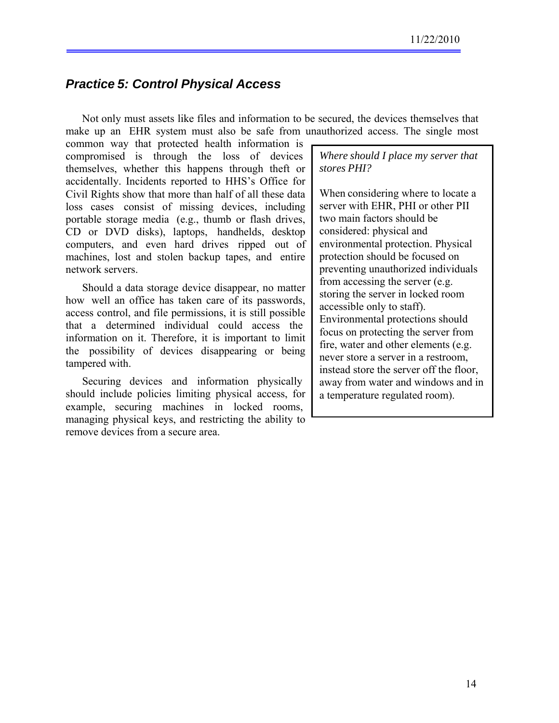#### <span id="page-13-0"></span>*Practice 5: Control Physical Access*

Not only must assets like files and information to be secured, the devices themselves that make up an EHR system must also be safe from unauthorized access. The single most

common way that protected health information is compromised is through the loss of devices themselves, whether this happens through theft or accidentally. Incidents reported to HHS's Office for Civil Rights show that more than half of all these data loss cases consist of missing devices, including portable storage media (e.g., thumb or flash drives, CD or DVD disks), laptops, handhelds, desktop computers, and even hard drives ripped out of machines, lost and stolen backup tapes, and entire network servers.

Should a data storage device disappear, no matter how well an office has taken care of its passwords, access control, and file permissions, it is still possible that a determined individual could access the information on it. Therefore, it is important to limit the possibility of devices disappearing or being tampered with.

Securing devices and information physically should include policies limiting physical access, for example, securing machines in locked rooms, managing physical keys, and restricting the ability to remove devices from a secure area.

*Where should I place my server that stores PHI?*

When considering where to locate a server with EHR, PHI or other PII two main factors should be considered: physical and environmental protection. Physical protection should be focused on preventing unauthorized individuals from accessing the server (e.g. storing the server in locked room accessible only to staff). Environmental protections should focus on protecting the server from fire, water and other elements (e.g. never store a server in a restroom, instead store the server off the floor, away from water and windows and in a temperature regulated room).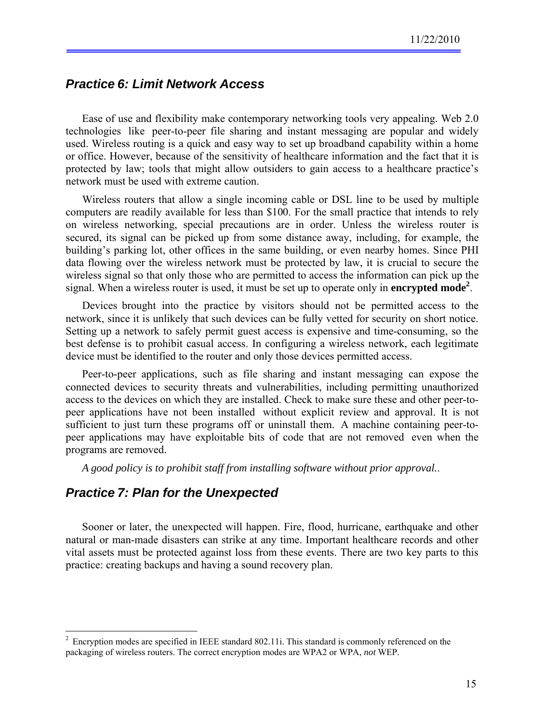#### <span id="page-14-0"></span>*Practice 6: Limit Network Access*

Ease of use and flexibility make contemporary networking tools very appealing. Web 2.0 technologies like peer-to-peer file sharing and instant messaging are popular and widely used. Wireless routing is a quick and easy way to set up broadband capability within a home or office. However, because of the sensitivity of healthcare information and the fact that it is protected by law; tools that might allow outsiders to gain access to a healthcare practice's network must be used with extreme caution.

Wireless routers that allow a single incoming cable or DSL line to be used by multiple computers are readily available for less than \$100. For the small practice that intends to rely on wireless networking, special precautions are in order. Unless the wireless router is secured, its signal can be picked up from some distance away, including, for example, the building's parking lot, other offices in the same building, or even nearby homes. Since PHI data flowing over the wireless network must be protected by law, it is crucial to secure the wireless signal so that only those who are permitted to access the information can pick up the signal. When a wireless router is used, it must be set up to operate only in **encrypted mode<sup>2</sup>** .

Devices brought into the practice by visitors should not be permitted access to the network, since it is unlikely that such devices can be fully vetted for security on short notice. Setting up a network to safely permit guest access is expensive and time-consuming, so the best defense is to prohibit casual access. In configuring a wireless network, each legitimate device must be identified to the router and only those devices permitted access.

Peer-to-peer applications, such as file sharing and instant messaging can expose the connected devices to security threats and vulnerabilities, including permitting unauthorized access to the devices on which they are installed. Check to make sure these and other peer-topeer applications have not been installed without explicit review and approval. It is not sufficient to just turn these programs off or uninstall them. A machine containing peer-topeer applications may have exploitable bits of code that are not removed even when the programs are removed.

*A good policy is to prohibit staff from installing software without prior approval.*.

#### *Practice 7: Plan for the Unexpected*

Sooner or later, the unexpected will happen. Fire, flood, hurricane, earthquake and other natural or man-made disasters can strike at any time. Important healthcare records and other vital assets must be protected against loss from these events. There are two key parts to this practice: creating backups and having a sound recovery plan.

<sup>&</sup>lt;sup>2</sup> Encryption modes are specified in IEEE standard 802.11i. This standard is commonly referenced on the packaging of wireless routers. The correct encryption modes are WPA2 or WPA, *not* WEP.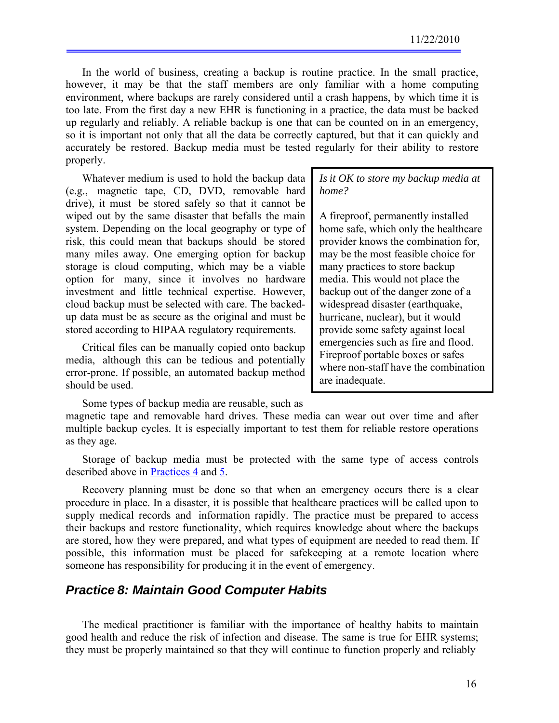In the world of business, creating a backup is routine practice. In the small practice, however, it may be that the staff members are only familiar with a home computing environment, where backups are rarely considered until a crash happens, by which time it is too late. From the first day a new EHR is functioning in a practice, the data must be backed up regularly and reliably. A reliable backup is one that can be counted on in an emergency, so it is important not only that all the data be correctly captured, but that it can quickly and accurately be restored. Backup media must be tested regularly for their ability to restore properly.

Whatever medium is used to hold the backup data (e.g., magnetic tape, CD, DVD, removable hard drive), it must be stored safely so that it cannot be wiped out by the same disaster that befalls the main system. Depending on the local geography or type of risk, this could mean that backups should be stored many miles away. One emerging option for backup storage is cloud computing, which may be a viable option for many, since it involves no hardware investment and little technical expertise. However, cloud backup must be selected with care. The backedup data must be as secure as the original and must be stored according to HIPAA regulatory requirements.

Critical files can be manually copied onto backup media, although this can be tedious and potentially error-prone. If possible, an automated backup method should be used.

*Is it OK to store my backup media at home?*

A fireproof, permanently installed home safe, which only the healthcare provider knows the combination for, may be the most feasible choice for many practices to store backup media. This would not place the backup out of the danger zone of a widespread disaster (earthquake, hurricane, nuclear), but it would provide some safety against local emergencies such as fire and flood. Fireproof portable boxes or safes where non-staff have the combination are inadequate.

Some types of backup media are reusable, such as

magnetic tape and removable hard drives. These media can wear out over time and after multiple backup cycles. It is especially important to test them for reliable restore operations as they age.

Storage of backup media must be protected with the same type of access controls described above in Practices 4 and 5.

Recovery planning must be done so that when an emergency occurs there is a clear procedure in place. In a disaster, it is possible that healthcare practices will be called upon to supply medical records and information rapidly. The practice must be prepared to access their backups and restore functionality, which requires knowledge about where the backups are stored, how they were prepared, and what types of equipment are needed to read them. If possible, this information must be placed for safekeeping at a remote location where someone has responsibility for producing it in the event of emergency.

#### *Practice 8: Maintain Good Computer Habits*

The medical practitioner is familiar with the importance of healthy habits to maintain good health and reduce the risk of infection and disease. The same is true for EHR systems; they must be properly maintained so that they will continue to function properly and reliably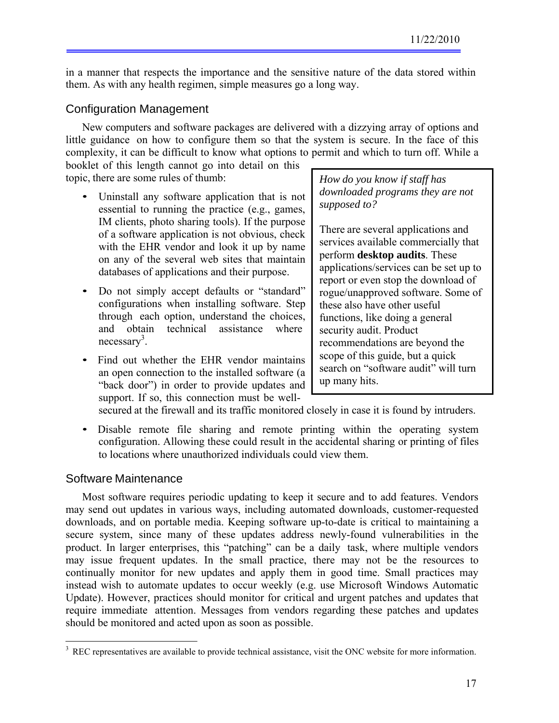<span id="page-16-0"></span>in a manner that respects the importance and the sensitive nature of the data stored within them. As with any health regimen, simple measures go a long way.

#### Configuration Management

New computers and software packages are delivered with a dizzying array of options and little guidance on how to configure them so that the system is secure. In the face of this complexity, it can be difficult to know what options to permit and which to turn off. While a

booklet of this length cannot go into detail on this topic, there are some rules of thumb:

- Uninstall any software application that is not essential to running the practice (e.g., games, IM clients, photo sharing tools). If the purpose of a software application is not obvious, check with the EHR vendor and look it up by name on any of the several web sites that maintain databases of applications and their purpose.
- Do not simply accept defaults or "standard" configurations when installing software. Step through each option, understand the choices, and obtain technical assistance where necessary<sup>3</sup>.
- Find out whether the EHR vendor maintains an open connection to the installed software (a "back door") in order to provide updates and support. If so, this connection must be well-

*How do you know if staff has downloaded programs they are not supposed to?*

There are several applications and services available commercially that perform **desktop audits**. These applications/services can be set up to report or even stop the download of rogue/unapproved software. Some of these also have other useful functions, like doing a general security audit. Product recommendations are beyond the scope of this guide, but a quick search on "software audit" will turn up many hits.

secured at the firewall and its traffic monitored closely in case it is found by intruders.

• Disable remote file sharing and remote printing within the operating system configuration. Allowing these could result in the accidental sharing or printing of files to locations where unauthorized individuals could view them.

#### Software Maintenance

Most software requires periodic updating to keep it secure and to add features. Vendors may send out updates in various ways, including automated downloads, customer-requested downloads, and on portable media. Keeping software up-to-date is critical to maintaining a secure system, since many of these updates address newly-found vulnerabilities in the product. In larger enterprises, this "patching" can be a daily task, where multiple vendors may issue frequent updates. In the small practice, there may not be the resources to continually monitor for new updates and apply them in good time. Small practices may instead wish to automate updates to occur weekly (e.g. use Microsoft Windows Automatic Update). However, practices should monitor for critical and urgent patches and updates that require immediate attention. Messages from vendors regarding these patches and updates should be monitored and acted upon as soon as possible.

<sup>&</sup>lt;sup>3</sup> REC representatives are available to provide technical assistance, visit the ONC website for more information.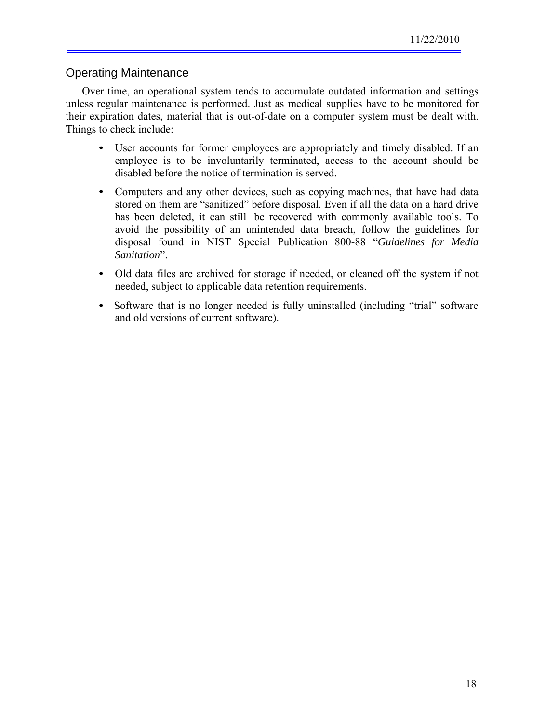#### <span id="page-17-0"></span>Operating Maintenance

Over time, an operational system tends to accumulate outdated information and settings unless regular maintenance is performed. Just as medical supplies have to be monitored for their expiration dates, material that is out-of-date on a computer system must be dealt with. Things to check include:

- User accounts for former employees are appropriately and timely disabled. If an employee is to be involuntarily terminated, access to the account should be disabled before the notice of termination is served.
- Computers and any other devices, such as copying machines, that have had data stored on them are "sanitized" before disposal. Even if all the data on a hard drive has been deleted, it can still be recovered with commonly available tools. To avoid the possibility of an unintended data breach, follow the guidelines for disposal found in NIST Special Publication 800-88 "*Guidelines for Media Sanitation*".
- Old data files are archived for storage if needed, or cleaned off the system if not needed, subject to applicable data retention requirements.
- Software that is no longer needed is fully uninstalled (including "trial" software and old versions of current software).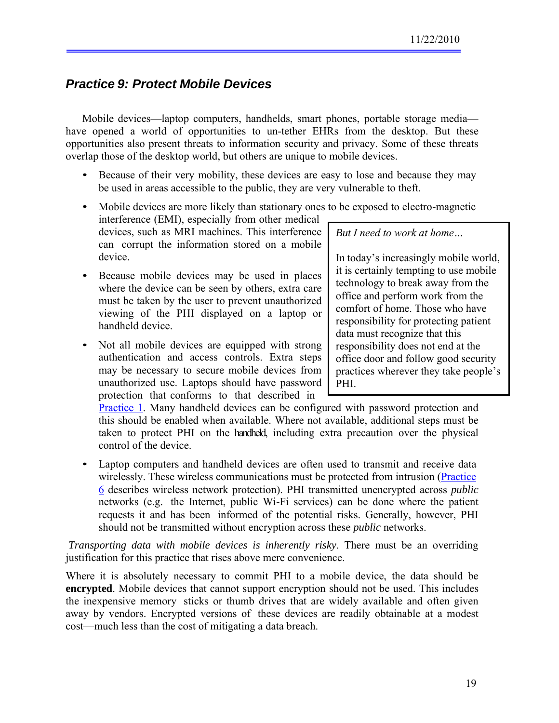#### <span id="page-18-0"></span>*Practice 9: Protect Mobile Devices*

Mobile devices—laptop computers, handhelds, smart phones, portable storage media have opened a world of opportunities to un-tether EHRs from the desktop. But these opportunities also present threats to information security and privacy. Some of these threats overlap those of the desktop world, but others are unique to mobile devices.

- Because of their very mobility, these devices are easy to lose and because they may be used in areas accessible to the public, they are very vulnerable to theft.
- Mobile devices are more likely than stationary ones to be exposed to electro-magnetic
- interference (EMI), especially from other medical devices, such as MRI machines. This interference can corrupt the information stored on a mobile device.
- Because mobile devices may be used in places where the device can be seen by others, extra care must be taken by the user to prevent unauthorized viewing of the PHI displayed on a laptop or handheld device.
- Not all mobile devices are equipped with strong authentication and access controls. Extra steps may be necessary to secure mobile devices from unauthorized use. Laptops should have password protection that conforms to that described in

*But I need to work at home…*

In today's increasingly mobile world, it is certainly tempting to use mobile technology to break away from the office and perform work from the comfort of home. Those who have responsibility for protecting patient data must recognize that this responsibility does not end at the office door and follow good security practices wherever they take people's PHI.

Practice 1. Many handheld devices can be configured with password protection and this should be enabled when available. Where not available, additional steps must be taken to protect PHI on the handheld, including extra precaution over the physical control of the device.

Laptop computers and handheld devices are often used to transmit and receive data wirelessly. These wireless communications must be protected from intrusion (Practice 6 describes wireless network protection). PHI transmitted unencrypted across *public*  networks (e.g. the Internet, public Wi-Fi services) can be done where the patient requests it and has been informed of the potential risks. Generally, however, PHI should not be transmitted without encryption across these *public* networks.

*Transporting data with mobile devices is inherently risky*. There must be an overriding justification for this practice that rises above mere convenience.

Where it is absolutely necessary to commit PHI to a mobile device, the data should be **encrypted**. Mobile devices that cannot support encryption should not be used. This includes the inexpensive memory sticks or thumb drives that are widely available and often given away by vendors. Encrypted versions of these devices are readily obtainable at a modest cost—much less than the cost of mitigating a data breach.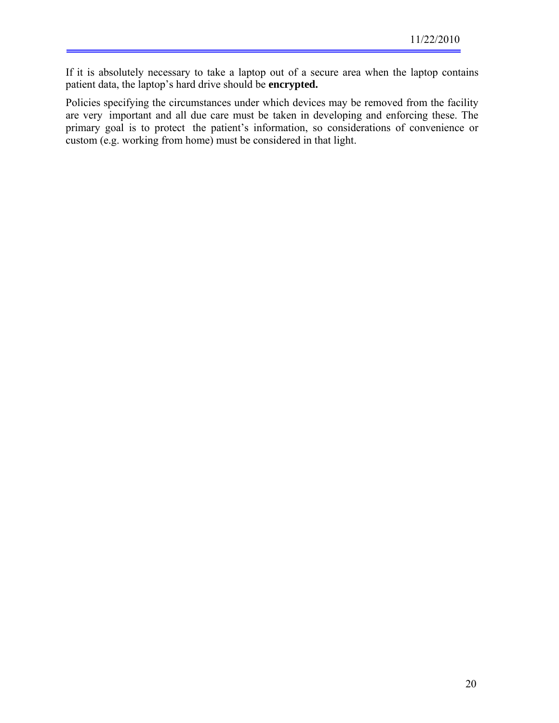If it is absolutely necessary to take a laptop out of a secure area when the laptop contains patient data, the laptop's hard drive should be **encrypted.**

Policies specifying the circumstances under which devices may be removed from the facility are very important and all due care must be taken in developing and enforcing these. The primary goal is to protect the patient's information, so considerations of convenience or custom (e.g. working from home) must be considered in that light.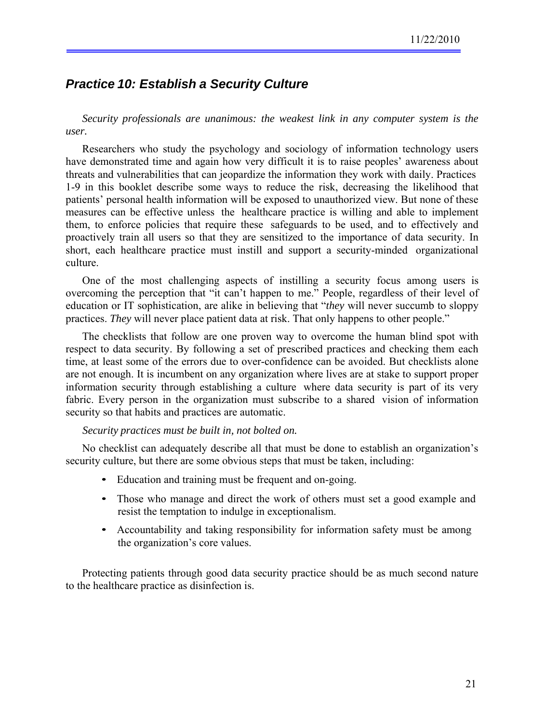#### <span id="page-20-0"></span>*Practice 10: Establish a Security Culture*

*Security professionals are unanimous: the weakest link in any computer system is the user.*

Researchers who study the psychology and sociology of information technology users have demonstrated time and again how very difficult it is to raise peoples' awareness about threats and vulnerabilities that can jeopardize the information they work with daily. Practices 1-9 in this booklet describe some ways to reduce the risk, decreasing the likelihood that patients' personal health information will be exposed to unauthorized view. But none of these measures can be effective unless the healthcare practice is willing and able to implement them, to enforce policies that require these safeguards to be used, and to effectively and proactively train all users so that they are sensitized to the importance of data security. In short, each healthcare practice must instill and support a security-minded organizational culture.

One of the most challenging aspects of instilling a security focus among users is overcoming the perception that "it can't happen to me." People, regardless of their level of education or IT sophistication, are alike in believing that "*they* will never succumb to sloppy practices. *They* will never place patient data at risk. That only happens to other people."

The checklists that follow are one proven way to overcome the human blind spot with respect to data security. By following a set of prescribed practices and checking them each time, at least some of the errors due to over-confidence can be avoided. But checklists alone are not enough. It is incumbent on any organization where lives are at stake to support proper information security through establishing a culture where data security is part of its very fabric. Every person in the organization must subscribe to a shared vision of information security so that habits and practices are automatic.

*Security practices must be built in, not bolted on.*

No checklist can adequately describe all that must be done to establish an organization's security culture, but there are some obvious steps that must be taken, including:

- Education and training must be frequent and on-going.
- Those who manage and direct the work of others must set a good example and resist the temptation to indulge in exceptionalism.
- Accountability and taking responsibility for information safety must be among the organization's core values.

Protecting patients through good data security practice should be as much second nature to the healthcare practice as disinfection is.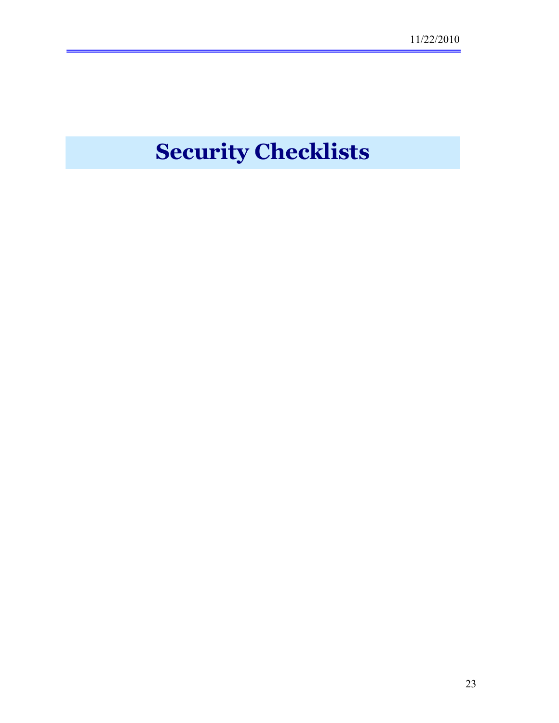## **Security Checklists**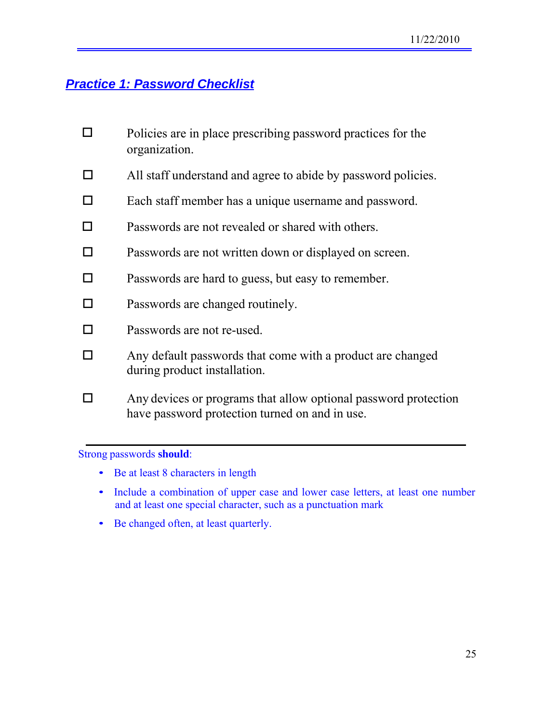### <span id="page-24-0"></span>*Practice 1: Password Checklist*

- $\Box$  Policies are in place prescribing password practices for the organization.
- □ All staff understand and agree to abide by password policies.
- $\Box$  Each staff member has a unique username and password.
- $\square$  Passwords are not revealed or shared with others.
- $\square$  Passwords are not written down or displayed on screen.
- $\square$  Passwords are hard to guess, but easy to remember.
- $\square$  Passwords are changed routinely.
- □ Passwords are not re-used.
- Any default passwords that come with a product are changed during product installation.
- $\Box$  Any devices or programs that allow optional password protection have password protection turned on and in use.

Strong passwords **should**:

- Be at least 8 characters in length
- Include a combination of upper case and lower case letters, at least one number and at least one special character, such as a punctuation mark
- Be changed often, at least quarterly.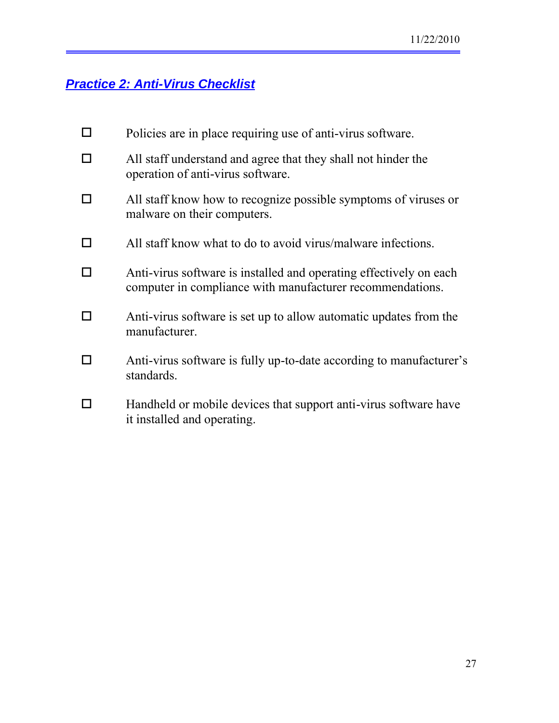## <span id="page-26-0"></span>*Practice 2: Anti-Virus Checklist*

| Policies are in place requiring use of anti-virus software.                                                                     |
|---------------------------------------------------------------------------------------------------------------------------------|
| All staff understand and agree that they shall not hinder the<br>operation of anti-virus software.                              |
| All staff know how to recognize possible symptoms of viruses or<br>malware on their computers.                                  |
| All staff know what to do to avoid virus/malware infections.                                                                    |
| Anti-virus software is installed and operating effectively on each<br>computer in compliance with manufacturer recommendations. |
| Anti-virus software is set up to allow automatic updates from the<br>manufacturer.                                              |
| Anti-virus software is fully up-to-date according to manufacturer's<br>standards.                                               |
| Handheld or mobile devices that support anti-virus software have<br>it installed and operating.                                 |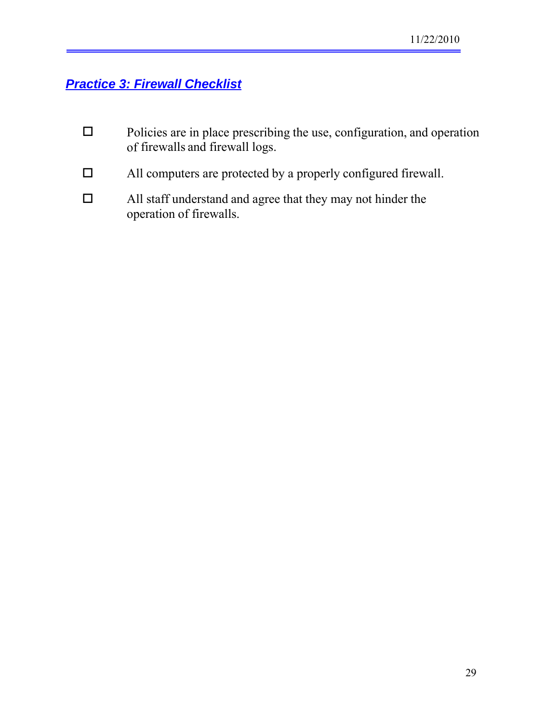## <span id="page-28-0"></span>*Practice 3: Firewall Checklist*

- $\Box$  Policies are in place prescribing the use, configuration, and operation of firewalls and firewall logs.
- All computers are protected by a properly configured firewall.
- All staff understand and agree that they may not hinder the operation of firewalls.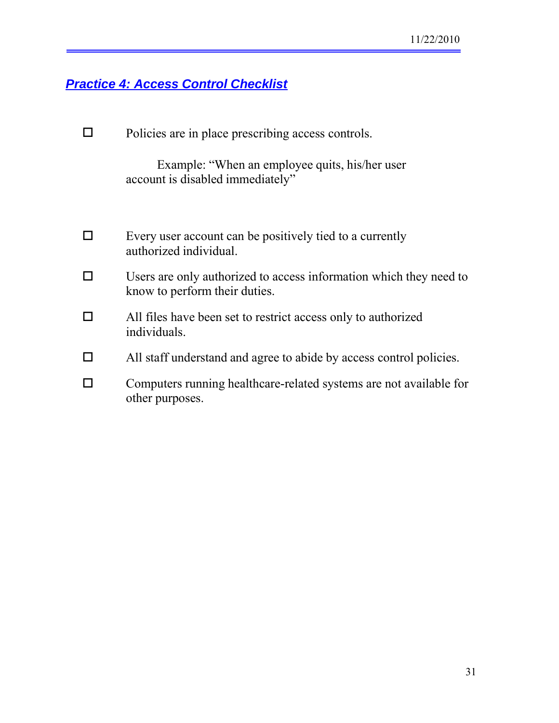## <span id="page-30-0"></span>*Practice 4: Access Control Checklist*

 $\Box$  Policies are in place prescribing access controls.

 Example: "When an employee quits, his/her user account is disabled immediately"

- $\Box$  Every user account can be positively tied to a currently authorized individual.
- $\square$  Users are only authorized to access information which they need to know to perform their duties.
- $\Box$  All files have been set to restrict access only to authorized individuals.
- $\Box$  All staff understand and agree to abide by access control policies.
- $\Box$  Computers running healthcare-related systems are not available for other purposes.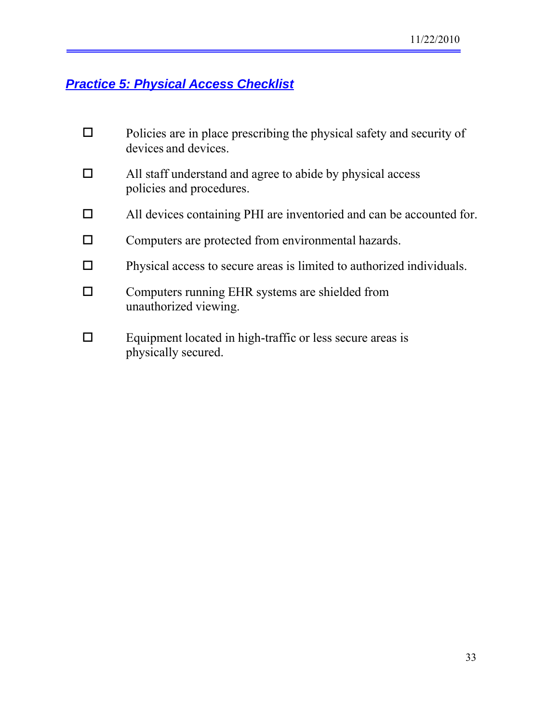## <span id="page-32-0"></span>*Practice 5: Physical Access Checklist*

| Policies are in place prescribing the physical safety and security of<br>devices and devices. |
|-----------------------------------------------------------------------------------------------|
| All staff understand and agree to abide by physical access<br>policies and procedures.        |
| All devices containing PHI are inventoried and can be accounted for.                          |
| Computers are protected from environmental hazards.                                           |
| Physical access to secure areas is limited to authorized individuals.                         |
| Computers running EHR systems are shielded from<br>unauthorized viewing.                      |
| Equipment located in high-traffic or less secure areas is                                     |

 $\Box$  Equipment located in high-traffic or less secure areas is physically secured.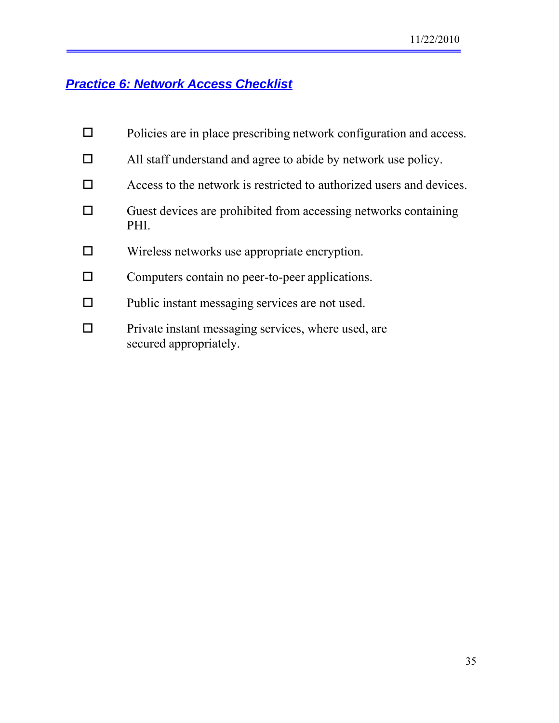## <span id="page-34-0"></span>*Practice 6: Network Access Checklist*

| Policies are in place prescribing network configuration and access.     |
|-------------------------------------------------------------------------|
| All staff understand and agree to abide by network use policy.          |
| Access to the network is restricted to authorized users and devices.    |
| Guest devices are prohibited from accessing networks containing<br>PHI. |
| Wireless networks use appropriate encryption.                           |
|                                                                         |
| Computers contain no peer-to-peer applications.                         |
| Public instant messaging services are not used.                         |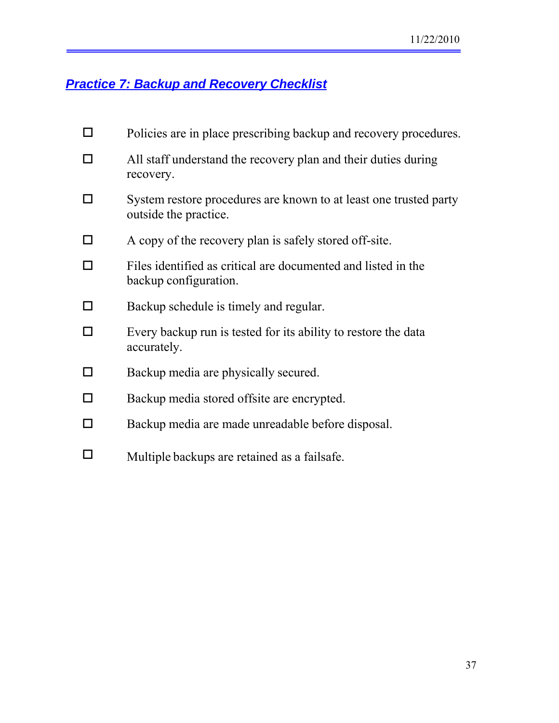## <span id="page-36-0"></span>*Practice 7: Backup and Recovery Checklist*

|    | Policies are in place prescribing backup and recovery procedures.                          |
|----|--------------------------------------------------------------------------------------------|
|    | All staff understand the recovery plan and their duties during<br>recovery.                |
|    | System restore procedures are known to at least one trusted party<br>outside the practice. |
| ΙI | A copy of the recovery plan is safely stored off-site.                                     |
|    | Files identified as critical are documented and listed in the<br>backup configuration.     |
| H  | Backup schedule is timely and regular.                                                     |
|    | Every backup run is tested for its ability to restore the data<br>accurately.              |
|    | Backup media are physically secured.                                                       |
|    | Backup media stored offsite are encrypted.                                                 |
|    | Backup media are made unreadable before disposal.                                          |
|    | Multiple backups are retained as a failsafe.                                               |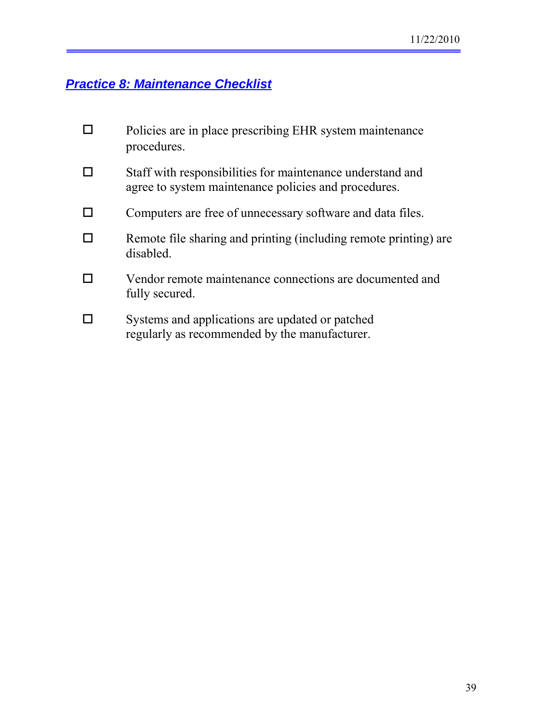## <span id="page-38-0"></span>*Practice 8: Maintenance Checklist*

- $\Box$  Policies are in place prescribing EHR system maintenance procedures.
- Staff with responsibilities for maintenance understand and agree to system maintenance policies and procedures.
- Computers are free of unnecessary software and data files.
- $\Box$  Remote file sharing and printing (including remote printing) are disabled.
- □ Vendor remote maintenance connections are documented and fully secured.
- $\square$  Systems and applications are updated or patched regularly as recommended by the manufacturer.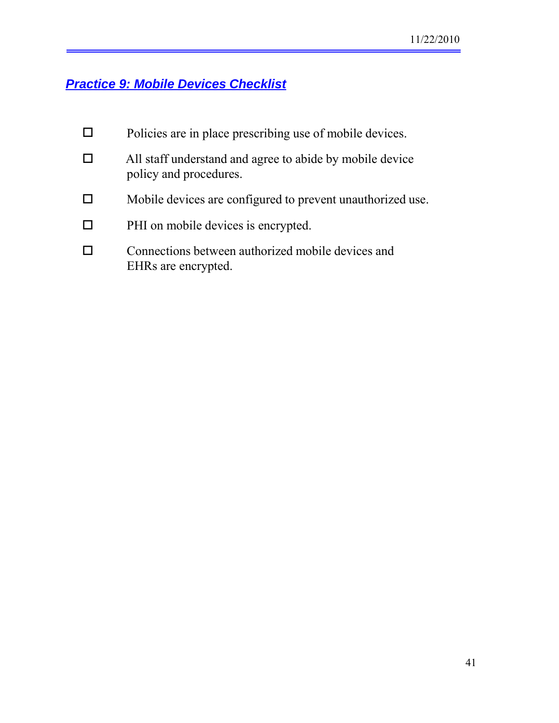## <span id="page-40-0"></span>*Practice 9: Mobile Devices Checklist*

| Policies are in place prescribing use of mobile devices.                           |
|------------------------------------------------------------------------------------|
| All staff understand and agree to abide by mobile device<br>policy and procedures. |
| Mobile devices are configured to prevent unauthorized use.                         |
| PHI on mobile devices is encrypted.                                                |
| Connections between authorized mobile devices and<br>EHRs are encrypted.           |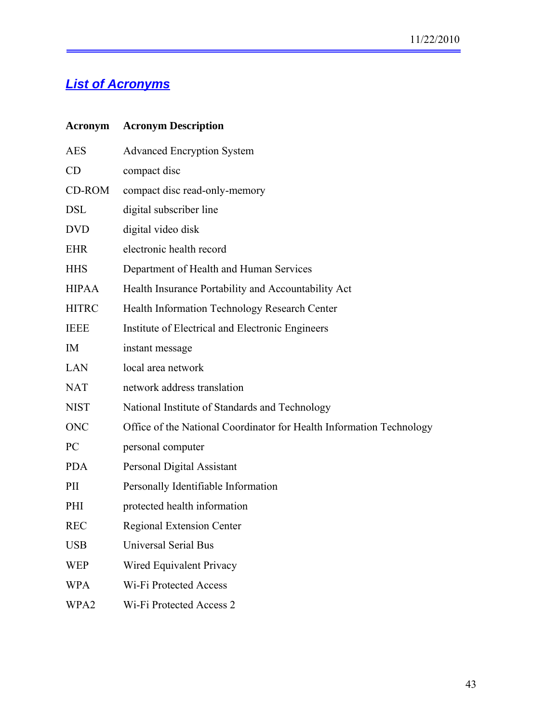## <span id="page-42-0"></span>*List of Acronyms*

| <b>Acronym</b> | <b>Acronym Description</b>                                           |
|----------------|----------------------------------------------------------------------|
| <b>AES</b>     | <b>Advanced Encryption System</b>                                    |
| CD             | compact disc                                                         |
| CD-ROM         | compact disc read-only-memory                                        |
| <b>DSL</b>     | digital subscriber line                                              |
| <b>DVD</b>     | digital video disk                                                   |
| <b>EHR</b>     | electronic health record                                             |
| <b>HHS</b>     | Department of Health and Human Services                              |
| <b>HIPAA</b>   | Health Insurance Portability and Accountability Act                  |
| <b>HITRC</b>   | Health Information Technology Research Center                        |
| <b>IEEE</b>    | Institute of Electrical and Electronic Engineers                     |
| IM             | instant message                                                      |
| LAN            | local area network                                                   |
| <b>NAT</b>     | network address translation                                          |
| <b>NIST</b>    | National Institute of Standards and Technology                       |
| ONC            | Office of the National Coordinator for Health Information Technology |
| PC             | personal computer                                                    |
| <b>PDA</b>     | Personal Digital Assistant                                           |
| PII            | Personally Identifiable Information                                  |
| PHI            | protected health information                                         |
| <b>REC</b>     | <b>Regional Extension Center</b>                                     |
| <b>USB</b>     | <b>Universal Serial Bus</b>                                          |
| <b>WEP</b>     | Wired Equivalent Privacy                                             |
| <b>WPA</b>     | Wi-Fi Protected Access                                               |
| WPA2           | Wi-Fi Protected Access 2                                             |